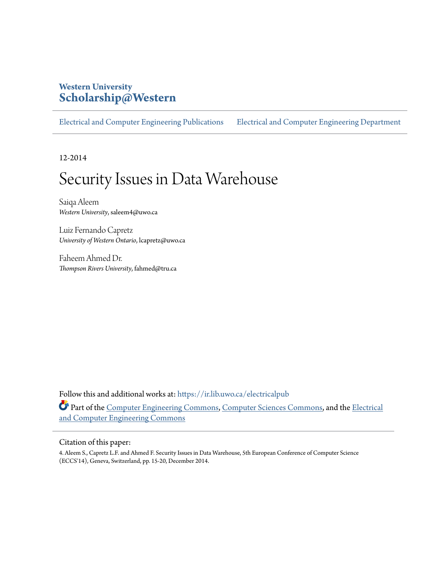# **Western University [Scholarship@Western](https://ir.lib.uwo.ca?utm_source=ir.lib.uwo.ca%2Felectricalpub%2F85&utm_medium=PDF&utm_campaign=PDFCoverPages)**

[Electrical and Computer Engineering Publications](https://ir.lib.uwo.ca/electricalpub?utm_source=ir.lib.uwo.ca%2Felectricalpub%2F85&utm_medium=PDF&utm_campaign=PDFCoverPages) [Electrical and Computer Engineering Department](https://ir.lib.uwo.ca/electrical?utm_source=ir.lib.uwo.ca%2Felectricalpub%2F85&utm_medium=PDF&utm_campaign=PDFCoverPages)

12-2014

# Security Issues in Data Warehouse

Saiqa Aleem *Western University*, saleem4@uwo.ca

Luiz Fernando Capretz *University of Western Ontario*, lcapretz@uwo.ca

Faheem Ahmed Dr. *Thompson Rivers University*, fahmed@tru.ca

Follow this and additional works at: [https://ir.lib.uwo.ca/electricalpub](https://ir.lib.uwo.ca/electricalpub?utm_source=ir.lib.uwo.ca%2Felectricalpub%2F85&utm_medium=PDF&utm_campaign=PDFCoverPages) Part of the [Computer Engineering Commons,](http://network.bepress.com/hgg/discipline/258?utm_source=ir.lib.uwo.ca%2Felectricalpub%2F85&utm_medium=PDF&utm_campaign=PDFCoverPages) [Computer Sciences Commons,](http://network.bepress.com/hgg/discipline/142?utm_source=ir.lib.uwo.ca%2Felectricalpub%2F85&utm_medium=PDF&utm_campaign=PDFCoverPages) and the [Electrical](http://network.bepress.com/hgg/discipline/266?utm_source=ir.lib.uwo.ca%2Felectricalpub%2F85&utm_medium=PDF&utm_campaign=PDFCoverPages) [and Computer Engineering Commons](http://network.bepress.com/hgg/discipline/266?utm_source=ir.lib.uwo.ca%2Felectricalpub%2F85&utm_medium=PDF&utm_campaign=PDFCoverPages)

#### Citation of this paper:

4. Aleem S., Capretz L.F. and Ahmed F. Security Issues in Data Warehouse, 5th European Conference of Computer Science (ECCS'14), Geneva, Switzerland, pp. 15-20, December 2014.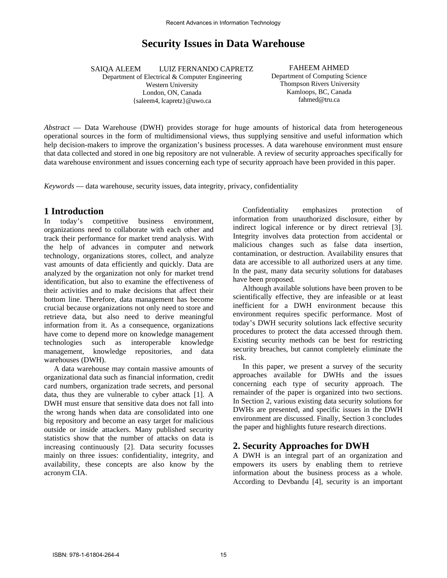# **Security Issues in Data Warehouse**

 SAIQA ALEEM LUIZ FERNANDO CAPRETZ

Department of Electrical & Computer Engineering Western University London, ON, Canada {saleem4, lcapretz}@uwo.ca

FAHEEM AHMED Department of Computing Science Thompson Rivers University Kamloops, BC, Canada fahmed@tru.ca

*Abstract* — Data Warehouse (DWH) provides storage for huge amounts of historical data from heterogeneous operational sources in the form of multidimensional views, thus supplying sensitive and useful information which help decision-makers to improve the organization's business processes. A data warehouse environment must ensure that data collected and stored in one big repository are not vulnerable. A review of security approaches specifically for data warehouse environment and issues concerning each type of security approach have been provided in this paper.

*Keywords* — data warehouse, security issues, data integrity, privacy, confidentiality

#### **1 Introduction**

In today's competitive business environment, organizations need to collaborate with each other and track their performance for market trend analysis. With the help of advances in computer and network technology, organizations stores, collect, and analyze vast amounts of data efficiently and quickly. Data are analyzed by the organization not only for market trend identification, but also to examine the effectiveness of their activities and to make decisions that affect their bottom line. Therefore, data management has become crucial because organizations not only need to store and retrieve data, but also need to derive meaningful information from it. As a consequence, organizations have come to depend more on knowledge management technologies such as interoperable knowledge management, knowledge repositories, and data warehouses (DWH).

A data warehouse may contain massive amounts of organizational data such as financial information, credit card numbers, organization trade secrets, and personal data, thus they are vulnerable to cyber attack [1]. A DWH must ensure that sensitive data does not fall into the wrong hands when data are consolidated into one big repository and become an easy target for malicious outside or inside attackers. Many published security statistics show that the number of attacks on data is increasing continuously [2]. Data security focusses mainly on three issues: confidentiality, integrity, and availability, these concepts are also know by the acronym CIA.

Confidentiality emphasizes protection of information from unauthorized disclosure, either by indirect logical inference or by direct retrieval [3]. Integrity involves data protection from accidental or malicious changes such as false data insertion, contamination, or destruction. Availability ensures that data are accessible to all authorized users at any time. In the past, many data security solutions for databases have been proposed.

Although available solutions have been proven to be scientifically effective, they are infeasible or at least inefficient for a DWH environment because this environment requires specific performance. Most of today's DWH security solutions lack effective security procedures to protect the data accessed through them. Existing security methods can be best for restricting security breaches, but cannot completely eliminate the risk.

In this paper, we present a survey of the security approaches available for DWHs and the issues concerning each type of security approach. The remainder of the paper is organized into two sections. In Section 2, various existing data security solutions for DWHs are presented, and specific issues in the DWH environment are discussed. Finally, Section 3 concludes the paper and highlights future research directions.

#### **2. Security Approaches for DWH**

A DWH is an integral part of an organization and empowers its users by enabling them to retrieve information about the business process as a whole. According to Devbandu [4], security is an important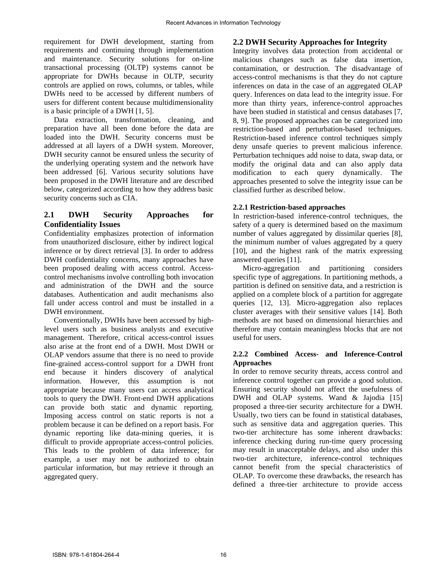requirement for DWH development, starting from requirements and continuing through implementation and maintenance. Security solutions for on-line transactional processing (OLTP) systems cannot be appropriate for DWHs because in OLTP, security controls are applied on rows, columns, or tables, while DWHs need to be accessed by different numbers of users for different content because multidimensionality is a basic principle of a DWH [1, 5].

Data extraction, transformation, cleaning, and preparation have all been done before the data are loaded into the DWH. Security concerns must be addressed at all layers of a DWH system. Moreover, DWH security cannot be ensured unless the security of the underlying operating system and the network have been addressed [6]. Various security solutions have been proposed in the DWH literature and are described below, categorized according to how they address basic security concerns such as CIA.

#### **2.1 DWH Security Approaches for Confidentiality Issues**

Confidentiality emphasizes protection of information from unauthorized disclosure, either by indirect logical inference or by direct retrieval [3]. In order to address DWH confidentiality concerns, many approaches have been proposed dealing with access control. Accesscontrol mechanisms involve controlling both invocation and administration of the DWH and the source databases. Authentication and audit mechanisms also fall under access control and must be installed in a DWH environment.

Conventionally, DWHs have been accessed by highlevel users such as business analysts and executive management. Therefore, critical access-control issues also arise at the front end of a DWH. Most DWH or OLAP vendors assume that there is no need to provide fine-grained access-control support for a DWH front end because it hinders discovery of analytical information. However, this assumption is not appropriate because many users can access analytical tools to query the DWH. Front-end DWH applications can provide both static and dynamic reporting. Imposing access control on static reports is not a problem because it can be defined on a report basis. For dynamic reporting like data-mining queries, it is difficult to provide appropriate access-control policies. This leads to the problem of data inference; for example, a user may not be authorized to obtain particular information, but may retrieve it through an aggregated query.

#### **2.2 DWH Security Approaches for Integrity**

Integrity involves data protection from accidental or malicious changes such as false data insertion, contamination, or destruction. The disadvantage of access-control mechanisms is that they do not capture inferences on data in the case of an aggregated OLAP query. Inferences on data lead to the integrity issue. For more than thirty years, inference-control approaches have been studied in statistical and census databases [7, ]. 8, 9]. The proposed approaches can be categorized into restriction-based and perturbation-based techniques. Restriction-based inference control techniques simply deny unsafe queries to prevent malicious inference. Perturbation techniques add noise to data, swap data, or modify the original data and can also apply data modification to each query dynamically. The approaches presented to solve the integrity issue can be classified further as described below.

#### **2.2.1 Restriction-based approaches**

In restriction-based inference-control techniques, the safety of a query is determined based on the maximum number of values aggregated by dissimilar queries [8], the minimum number of values aggregated by a query [10], and the highest rank of the matrix expressing answered queries [11].

Micro-aggregation and partitioning considers specific type of aggregations. In partitioning methods, a partition is defined on sensitive data, and a restriction is applied on a complete block of a partition for aggregate queries [12, 13]. Micro-aggregation also replaces cluster averages with their sensitive values [14]. Both methods are not based on dimensional hierarchies and therefore may contain meaningless blocks that are not useful for users.

#### **2.2.2 Combined Access- and Inference-Control Approaches**

In order to remove security threats, access control and inference control together can provide a good solution. Ensuring security should not affect the usefulness of DWH and OLAP systems. Wand & Jajodia [15] proposed a three-tier security architecture for a DWH. Usually, two tiers can be found in statistical databases, such as sensitive data and aggregation queries. This two-tier architecture has some inherent drawbacks: inference checking during run-time query processing may result in unacceptable delays, and also under this two-tier architecture, inference-control techniques cannot benefit from the special characteristics of OLAP. To overcome these drawbacks, the research has defined a three-tier architecture to provide access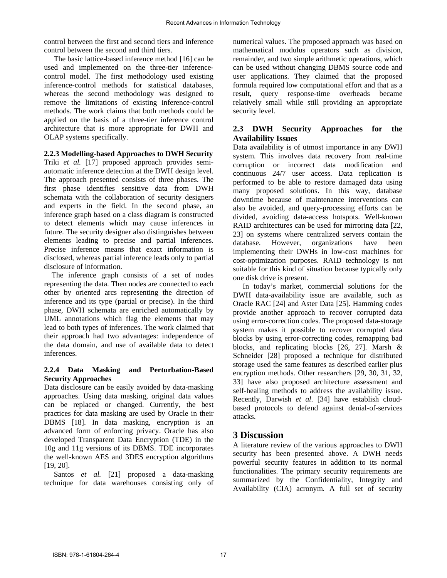control between the first and second tiers and inference control between the second and third tiers.

The basic lattice-based inference method [16] can be used and implemented on the three-tier inferencecontrol model. The first methodology used existing inference-control methods for statistical databases, whereas the second methodology was designed to remove the limitations of existing inference-control methods. The work claims that both methods could be applied on the basis of a three-tier inference control architecture that is more appropriate for DWH and OLAP systems specifically.

#### **2.2.3 Modelling-based Approaches to DWH Security**

Triki *et al.* [17] proposed approach provides semiautomatic inference detection at the DWH design level. The approach presented consists of three phases. The first phase identifies sensitive data from DWH schemata with the collaboration of security designers and experts in the field. In the second phase, an inference graph based on a class diagram is constructed to detect elements which may cause inferences in future. The security designer also distinguishes between elements leading to precise and partial inferences. Precise inference means that exact information is disclosed, whereas partial inference leads only to partial disclosure of information.

 The inference graph consists of a set of nodes representing the data. Then nodes are connected to each other by oriented arcs representing the direction of inference and its type (partial or precise). In the third phase, DWH schemata are enriched automatically by UML annotations which flag the elements that may lead to both types of inferences. The work claimed that their approach had two advantages: independence of the data domain, and use of available data to detect inferences.

#### **2.2.4 Data Masking and Perturbation-Based Security Approaches**

Data disclosure can be easily avoided by data-masking approaches. Using data masking, original data values can be replaced or changed. Currently, the best practices for data masking are used by Oracle in their DBMS [18]. In data masking, encryption is an advanced form of enforcing privacy. Oracle has also developed Transparent Data Encryption (TDE) in the 10g and 11g versions of its DBMS. TDE incorporates the well-known AES and 3DES encryption algorithms [19, 20].

Santos *et al.* [21] proposed a data-masking technique for data warehouses consisting only of numerical values. The proposed approach was based on mathematical modulus operators such as division, remainder, and two simple arithmetic operations, which can be used without changing DBMS source code and user applications. They claimed that the proposed formula required low computational effort and that as a result, query response-time overheads became relatively small while still providing an appropriate security level.

#### **2.3 DWH Security Approaches for the Availability Issues**

Data availability is of utmost importance in any DWH system. This involves data recovery from real-time corruption or incorrect data modification and continuous 24/7 user access. Data replication is performed to be able to restore damaged data using many proposed solutions. In this way, database downtime because of maintenance interventions can also be avoided, and query-processing efforts can be divided, avoiding data-access hotspots. Well-known RAID architectures can be used for mirroring data [22, 23] on systems where centralized servers contain the database. However, organizations have been implementing their DWHs in low-cost machines for cost-optimization purposes. RAID technology is not suitable for this kind of situation because typically only one disk drive is present.

In today's market, commercial solutions for the DWH data-availability issue are available, such as Oracle RAC [24] and Aster Data [25]. Hamming codes provide another approach to recover corrupted data using error-correction codes. The proposed data-storage system makes it possible to recover corrupted data blocks by using error-correcting codes, remapping bad blocks, and replicating blocks [26, 27]. Marsh & Schneider [28] proposed a technique for distributed storage used the same features as described earlier plus encryption methods. Other researchers [29, 30, 31, 32, 33] have also proposed architecture assessment and self-healing methods to address the availability issue. Recently, Darwish *et al*. [34] have establish cloudbased protocols to defend against denial-of-services attacks.

## **3 Discussion**

A literature review of the various approaches to DWH security has been presented above. A DWH needs powerful security features in addition to its normal functionalities. The primary security requirements are summarized by the Confidentiality, Integrity and Availability (CIA) acronym. A full set of security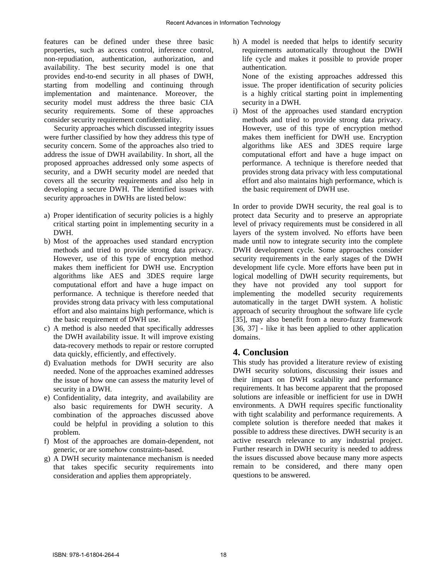features can be defined under these three basic properties, such as access control, inference control, non-repudiation, authentication, authorization, and availability. The best security model is one that provides end-to-end security in all phases of DWH, starting from modelling and continuing through implementation and maintenance. Moreover, the security model must address the three basic CIA security requirements. Some of these approaches consider security requirement confidentiality.

Security approaches which discussed integrity issues were further classified by how they address this type of security concern. Some of the approaches also tried to address the issue of DWH availability. In short, all the proposed approaches addressed only some aspects of security, and a DWH security model are needed that covers all the security requirements and also help in developing a secure DWH. The identified issues with security approaches in DWHs are listed below:

- a) Proper identification of security policies is a highly critical starting point in implementing security in a DWH.
- b) Most of the approaches used standard encryption methods and tried to provide strong data privacy. However, use of this type of encryption method makes them inefficient for DWH use. Encryption algorithms like AES and 3DES require large computational effort and have a huge impact on performance. A technique is therefore needed that provides strong data privacy with less computational effort and also maintains high performance, which is the basic requirement of DWH use.
- c) A method is also needed that specifically addresses the DWH availability issue. It will improve existing data-recovery methods to repair or restore corrupted data quickly, efficiently, and effectively.
- d) Evaluation methods for DWH security are also needed. None of the approaches examined addresses the issue of how one can assess the maturity level of security in a DWH.
- e) Confidentiality, data integrity, and availability are also basic requirements for DWH security. A combination of the approaches discussed above could be helpful in providing a solution to this problem.
- f) Most of the approaches are domain-dependent, not generic, or are somehow constraints-based.
- g) A DWH security maintenance mechanism is needed that takes specific security requirements into consideration and applies them appropriately.

h) A model is needed that helps to identify security requirements automatically throughout the DWH life cycle and makes it possible to provide proper authentication. None of the existing approaches addressed this

issue. The proper identification of security policies is a highly critical starting point in implementing security in a DWH.

i) Most of the approaches used standard encryption methods and tried to provide strong data privacy. However, use of this type of encryption method makes them inefficient for DWH use. Encryption algorithms like AES and 3DES require large computational effort and have a huge impact on performance. A technique is therefore needed that provides strong data privacy with less computational effort and also maintains high performance, which is the basic requirement of DWH use.

In order to provide DWH security, the real goal is to protect data Security and to preserve an appropriate level of privacy requirements must be considered in all layers of the system involved. No efforts have been made until now to integrate security into the complete DWH development cycle. Some approaches consider security requirements in the early stages of the DWH development life cycle. More efforts have been put in logical modelling of DWH security requirements, but they have not provided any tool support for implementing the modelled security requirements automatically in the target DWH system. A holistic approach of security throughout the software life cycle [35], may also benefit from a neuro-fuzzy framework [36, 37] - like it has been applied to other application domains.

## **4. Conclusion**

This study has provided a literature review of existing DWH security solutions, discussing their issues and their impact on DWH scalability and performance requirements. It has become apparent that the proposed solutions are infeasible or inefficient for use in DWH environments. A DWH requires specific functionality with tight scalability and performance requirements. A complete solution is therefore needed that makes it possible to address these directives. DWH security is an active research relevance to any industrial project. Further research in DWH security is needed to address the issues discussed above because many more aspects remain to be considered, and there many open questions to be answered.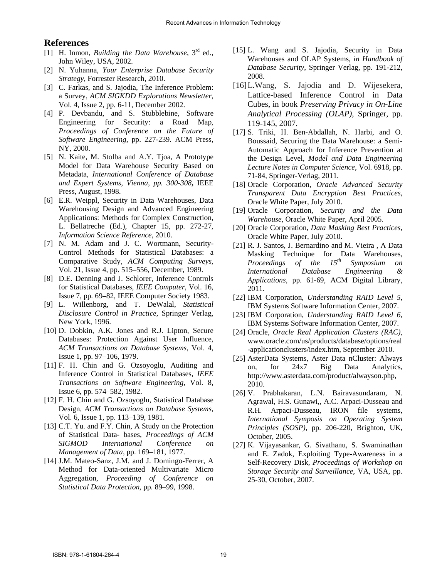### **References**

- [1] H. Inmon, *Building the Data Warehouse*, 3rd ed., John Wiley, USA, 2002.
- [2] N. Yuhanna, *Your Enterprise Database Security Strategy*, Forrester Research, 2010.
- [3] C. Farkas, and S. Jajodia, The Inference Problem: a Survey, *ACM SIGKDD Explorations Newsletter*, Vol. 4, Issue 2, pp. 6-11, December 2002.
- [4] P. Devbandu, and S. Stubblebine, Software Engineering for Security: a Road Map, *Proceedings of Conference on the Future of Software Engineering*, pp. 227-239. ACM Press, NY, 2000.
- [5] N. Kaite, M. Stolba and A.Y. Tjoa, A Prototype Model for Data Warehouse Security Based on Metadata, *International Conference of Database and Expert Systems, Vienna, pp. 300-308***,** IEEE Press, August, 1998.
- [6] E.R. Weippl, Security in Data Warehouses, Data Warehousing Design and Advanced Engineering Applications: Methods for Complex Construction, L. Bellatreche (Ed.), Chapter 15, pp. 272-27, *Information Science Reference*, 2010.
- [7] N. M. Adam and J. C. Wortmann, Security-Control Methods for Statistical Databases: a Comparative Study, *ACM Computing Surveys*, Vol. 21, Issue 4, pp. 515–556, December, 1989.
- [8] D.E. Denning and J. Schlorer, Inference Controls for Statistical Databases, *IEEE Computer*, Vol. 16, Issue 7, pp. 69–82, IEEE Computer Society 1983.
- [9] L. Willenborg, and T. DeWalal, *Statistical Disclosure Control in Practice*, Springer Verlag, New York, 1996.
- [10] D. Dobkin, A.K. Jones and R.J. Lipton, Secure Databases: Protection Against User Influence, *ACM Transactions on Database Systems*, Vol. 4, Issue 1, pp. 97–106, 1979.
- [11] F. H. Chin and G. Ozsoyoglu, Auditing and Inference Control in Statistical Databases, *IEEE Transactions on Software Engineering*, Vol. 8, Issue 6, pp. 574–582, 1982.
- [12] F. H. Chin and G. Ozsoyoglu, Statistical Database Design*, ACM Transactions on Database Systems*, Vol. 6, Issue 1, pp. 113–139, 1981.
- [13] C.T. Yu. and F.Y. Chin, A Study on the Protection of Statistical Data- bases, *Proceedings of ACM SIGMOD International Conference on Management of Data,* pp. 169–181, 1977.
- [14] J.M. Mateo-Sanz, J.M. and J. Domingo-Ferrer, A Method for Data-oriented Multivariate Micro Aggregation, *Proceeding of Conference on Statistical Data Protection*, pp. 89–99, 1998.
- [15] L. Wang and S. Jajodia, Security in Data Warehouses and OLAP Systems, *in Handbook of Database Security*, Springer Verlag, pp. 191-212, 2008.
- [16] L. Wang, S. Jajodia and D. Wijesekera, Lattice-based Inference Control in Data Cubes, in book *Preserving Privacy in On-Line Analytical Processing (OLAP)*, Springer, pp. 119-145, 2007.
- [17] S. Triki, H. Ben-Abdallah, N. Harbi, and O. Boussaid, Securing the Data Warehouse: a Semi-Automatic Approach for Inference Prevention at the Design Level, *Model and Data Engineering Lecture Notes in Computer Science*, Vol. 6918, pp. 71-84, Springer-Verlag, 2011.
- [18] Oracle Corporation, *Oracle Advanced Security Transparent Data Encryption Best Practices*, Oracle White Paper, July 2010.
- [19] Oracle Corporation, *Security and the Data Warehouse*, Oracle White Paper, April 2005.
- [20] Oracle Corporation, *Data Masking Best Practices,* Oracle White Paper, July 2010.
- [21] R. J. Santos, J. Bernardino and M. Vieira , A Data Masking Technique for Data Warehouses,<br>*Proceedings of the*  $15<sup>th</sup>$  *Symposium on Proceedings of the 15<sup>th</sup> Symposium on International Database Engineering & Applications*, pp. 61-69, ACM Digital Library, 2011.
- [22] IBM Corporation, *Understanding RAID Level 5*, IBM Systems Software Information Center, 2007.
- [23] IBM Corporation, *Understanding RAID Level 6,* IBM Systems Software Information Center, 2007.
- [24] Oracle, *Oracle Real Application Clusters (RAC),* www.oracle.com/us/products/database/options/real -applicationclusters/index.htm, September 2010.
- [25] AsterData Systems, Aster Data nCluster: Always on, for 24x7 Big Data Analytics, http://www.asterdata.com/product/alwayson.php, 2010.
- [26] V. Prabhakaran, L.N. Bairavasundaram, N. Agrawal, H.S. Gunawi,, A.C. Arpaci-Dusseau and R.H. Arpaci-Dusseau, IRON file systems, *International Symposis on Operating System Principles (SOSP),* pp. 206-220, Brighton, UK, October, 2005.
- [27] K. Vijayasankar, G. Sivathanu, S. Swaminathan and E. Zadok, Exploiting Type-Awareness in a Self-Recovery Disk, *Proceedings of Workshop on Storage Security and Surveillance,* VA, USA, pp. 25-30, October, 2007.